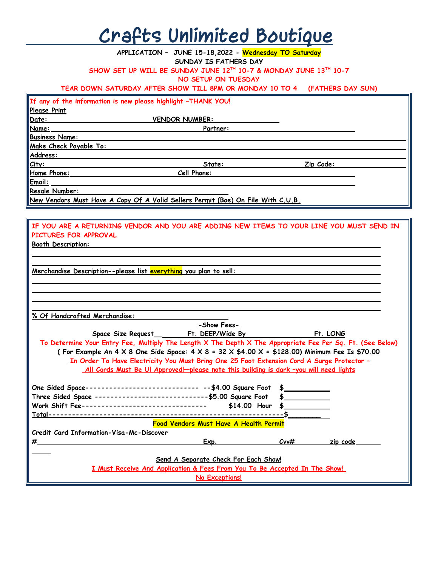## **Crafts Unlimited Boutique**

|                           | APPLICATION - JUNE 15-18,2022 - Wednesday TO Saturday                                                           |         |           |  |
|---------------------------|-----------------------------------------------------------------------------------------------------------------|---------|-----------|--|
|                           | SUNDAY IS FATHERS DAY                                                                                           |         |           |  |
|                           | SHOW SET UP WILL BE SUNDAY JUNE 12TH 10-7 & MONDAY JUNE 13TH 10-7                                               |         |           |  |
|                           | NO SETUP ON TUESDAY                                                                                             |         |           |  |
|                           | TEAR DOWN SATURDAY AFTER SHOW TILL 8PM OR MONDAY 10 TO 4 (FATHERS DAY SUN)                                      |         |           |  |
|                           | If any of the information is new please highlight -THANK YOU!                                                   |         |           |  |
| Please Print              |                                                                                                                 |         |           |  |
| Date:                     | <b>VENDOR NUMBER:</b>                                                                                           |         |           |  |
| Name:                     | Partner:                                                                                                        |         |           |  |
| <b>Business Name:</b>     |                                                                                                                 |         |           |  |
| Make Check Payable To:    |                                                                                                                 |         |           |  |
| Address:                  |                                                                                                                 |         |           |  |
| City:                     | State:                                                                                                          |         | Zip Code: |  |
|                           | <u>Home Phone: Cell Phone:</u>                                                                                  |         |           |  |
| Email:                    |                                                                                                                 |         |           |  |
| Resale Number:            |                                                                                                                 |         |           |  |
|                           | <u>New Vendors Must Have A Copy Of A Valid Sellers Permit (Boe) On File With C.U.B.</u>                         |         |           |  |
|                           |                                                                                                                 |         |           |  |
|                           | IF YOU ARE A RETURNING VENDOR AND YOU ARE ADDING NEW ITEMS TO YOUR LINE YOU MUST SEND IN                        |         |           |  |
|                           |                                                                                                                 |         |           |  |
| PICTURES FOR APPROVAL     |                                                                                                                 |         |           |  |
| <b>Booth Description:</b> |                                                                                                                 |         |           |  |
|                           |                                                                                                                 |         |           |  |
|                           |                                                                                                                 |         |           |  |
|                           | Merchandise Description--please list everything you plan to sell:                                               |         |           |  |
|                           |                                                                                                                 |         |           |  |
|                           |                                                                                                                 |         |           |  |
|                           |                                                                                                                 |         |           |  |
|                           | % Of Handcrafted Merchandise:                                                                                   |         |           |  |
|                           | -Show Fees-                                                                                                     |         |           |  |
|                           |                                                                                                                 |         | Ft. LONG  |  |
|                           | To Determine Your Entry Fee, Multiply The Length X The Depth X The Appropriate Fee Per Sq. Ft. (See Below)      |         |           |  |
|                           | (For Example An 4 X 8 One Side Space: $4 \times 8 = 32 \times 44.00 \times 1 = 128.00$ ) Minimum Fee Is \$70.00 |         |           |  |
|                           | <u>In Order To Have Electricity You Must Bring One 25 Foot Extension Cord A Surge Protector -</u>               |         |           |  |
|                           | All Cords Must Be UI Approved!-please note this building is dark -you will need lights                          |         |           |  |
|                           |                                                                                                                 |         |           |  |
|                           | One Sided Space---------------------------- -- \$4.00 Square Foot                                               | \$      |           |  |
|                           | Three Sided Space -----------------------------\$5.00 Square Foot                                               |         |           |  |
|                           | Work Shift Fee--------------------------------<br>\$14.00 Hour                                                  |         |           |  |
|                           |                                                                                                                 |         |           |  |
|                           | <b>Food Vendors Must Have A Health Permit</b>                                                                   |         |           |  |
|                           | Credit Card Information-Visa-Mc-Discover                                                                        |         |           |  |
| #                         | Exp.                                                                                                            | $C$ vv# | zip code  |  |
|                           |                                                                                                                 |         |           |  |
|                           | Send A Separate Check For Each Show!                                                                            |         |           |  |
|                           | I Must Receive And Application & Fees From You To Be Accepted In The Show!                                      |         |           |  |
|                           |                                                                                                                 |         |           |  |
|                           | No Exceptions!                                                                                                  |         |           |  |